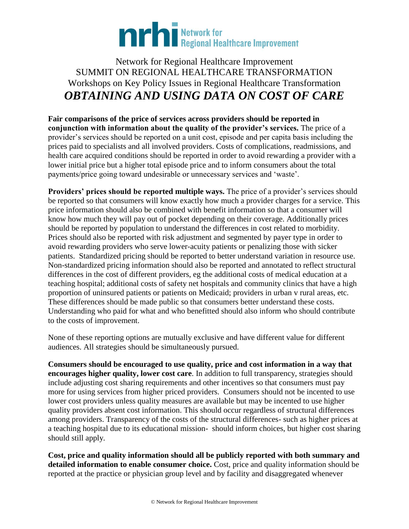

## Network for Regional Healthcare Improvement SUMMIT ON REGIONAL HEALTHCARE TRANSFORMATION Workshops on Key Policy Issues in Regional Healthcare Transformation *OBTAINING AND USING DATA ON COST OF CARE*

**Fair comparisons of the price of services across providers should be reported in conjunction with information about the quality of the provider's services.** The price of a provider's services should be reported on a unit cost, episode and per capita basis including the prices paid to specialists and all involved providers. Costs of complications, readmissions, and health care acquired conditions should be reported in order to avoid rewarding a provider with a lower initial price but a higher total episode price and to inform consumers about the total payments/price going toward undesirable or unnecessary services and 'waste'.

**Providers' prices should be reported multiple ways.** The price of a provider's services should be reported so that consumers will know exactly how much a provider charges for a service. This price information should also be combined with benefit information so that a consumer will know how much they will pay out of pocket depending on their coverage. Additionally prices should be reported by population to understand the differences in cost related to morbidity. Prices should also be reported with risk adjustment and segmented by payer type in order to avoid rewarding providers who serve lower-acuity patients or penalizing those with sicker patients. Standardized pricing should be reported to better understand variation in resource use. Non-standardized pricing information should also be reported and annotated to reflect structural differences in the cost of different providers, eg the additional costs of medical education at a teaching hospital; additional costs of safety net hospitals and community clinics that have a high proportion of uninsured patients or patients on Medicaid; providers in urban v rural areas, etc. These differences should be made public so that consumers better understand these costs. Understanding who paid for what and who benefitted should also inform who should contribute to the costs of improvement.

None of these reporting options are mutually exclusive and have different value for different audiences. All strategies should be simultaneously pursued.

**Consumers should be encouraged to use quality, price and cost information in a way that encourages higher quality, lower cost care**. In addition to full transparency, strategies should include adjusting cost sharing requirements and other incentives so that consumers must pay more for using services from higher priced providers. Consumers should not be incented to use lower cost providers unless quality measures are available but may be incented to use higher quality providers absent cost information. This should occur regardless of structural differences among providers. Transparency of the costs of the structural differences- such as higher prices at a teaching hospital due to its educational mission- should inform choices, but higher cost sharing should still apply.

**Cost, price and quality information should all be publicly reported with both summary and detailed information to enable consumer choice.** Cost, price and quality information should be reported at the practice or physician group level and by facility and disaggregated whenever